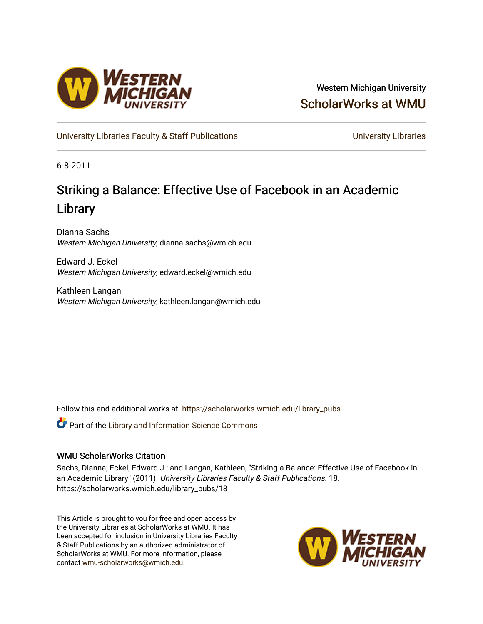

Western Michigan University [ScholarWorks at WMU](https://scholarworks.wmich.edu/) 

[University Libraries Faculty & Staff Publications](https://scholarworks.wmich.edu/library_pubs) **Exercise State Conventions** University Libraries

6-8-2011

# Striking a Balance: Effective Use of Facebook in an Academic Library

Dianna Sachs Western Michigan University, dianna.sachs@wmich.edu

Edward J. Eckel Western Michigan University, edward.eckel@wmich.edu

Kathleen Langan Western Michigan University, kathleen.langan@wmich.edu

Follow this and additional works at: [https://scholarworks.wmich.edu/library\\_pubs](https://scholarworks.wmich.edu/library_pubs?utm_source=scholarworks.wmich.edu%2Flibrary_pubs%2F18&utm_medium=PDF&utm_campaign=PDFCoverPages) 

Part of the [Library and Information Science Commons](http://network.bepress.com/hgg/discipline/1018?utm_source=scholarworks.wmich.edu%2Flibrary_pubs%2F18&utm_medium=PDF&utm_campaign=PDFCoverPages) 

## WMU ScholarWorks Citation

Sachs, Dianna; Eckel, Edward J.; and Langan, Kathleen, "Striking a Balance: Effective Use of Facebook in an Academic Library" (2011). University Libraries Faculty & Staff Publications. 18. https://scholarworks.wmich.edu/library\_pubs/18

This Article is brought to you for free and open access by the University Libraries at ScholarWorks at WMU. It has been accepted for inclusion in University Libraries Faculty & Staff Publications by an authorized administrator of ScholarWorks at WMU. For more information, please contact [wmu-scholarworks@wmich.edu](mailto:wmu-scholarworks@wmich.edu).

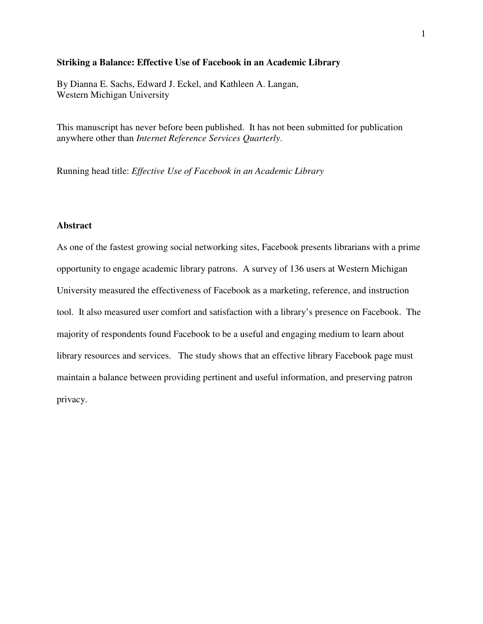### **Striking a Balance: Effective Use of Facebook in an Academic Library**

By Dianna E. Sachs, Edward J. Eckel, and Kathleen A. Langan, Western Michigan University

This manuscript has never before been published. It has not been submitted for publication anywhere other than *Internet Reference Services Quarterly*.

Running head title: *Effective Use of Facebook in an Academic Library*

## **Abstract**

As one of the fastest growing social networking sites, Facebook presents librarians with a prime opportunity to engage academic library patrons. A survey of 136 users at Western Michigan University measured the effectiveness of Facebook as a marketing, reference, and instruction tool. It also measured user comfort and satisfaction with a library's presence on Facebook. The majority of respondents found Facebook to be a useful and engaging medium to learn about library resources and services. The study shows that an effective library Facebook page must maintain a balance between providing pertinent and useful information, and preserving patron privacy.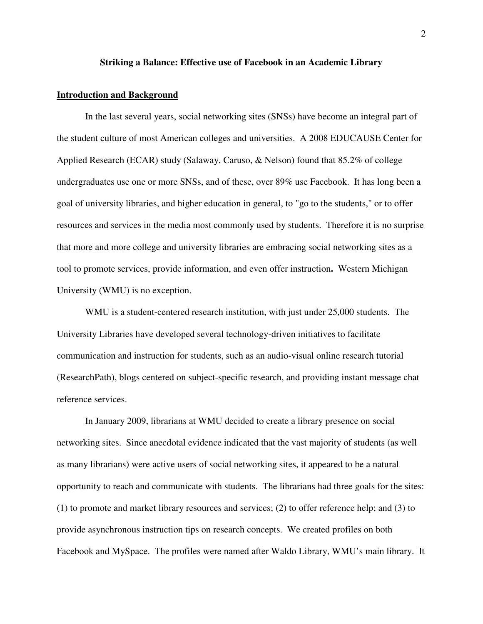#### **Striking a Balance: Effective use of Facebook in an Academic Library**

#### **Introduction and Background**

In the last several years, social networking sites (SNSs) have become an integral part of the student culture of most American colleges and universities. A 2008 EDUCAUSE Center for Applied Research (ECAR) study (Salaway, Caruso, & Nelson) found that 85.2% of college undergraduates use one or more SNSs, and of these, over 89% use Facebook. It has long been a goal of university libraries, and higher education in general, to "go to the students," or to offer resources and services in the media most commonly used by students. Therefore it is no surprise that more and more college and university libraries are embracing social networking sites as a tool to promote services, provide information, and even offer instruction**.** Western Michigan University (WMU) is no exception.

WMU is a student-centered research institution, with just under 25,000 students. The University Libraries have developed several technology-driven initiatives to facilitate communication and instruction for students, such as an audio-visual online research tutorial (ResearchPath), blogs centered on subject-specific research, and providing instant message chat reference services.

In January 2009, librarians at WMU decided to create a library presence on social networking sites. Since anecdotal evidence indicated that the vast majority of students (as well as many librarians) were active users of social networking sites, it appeared to be a natural opportunity to reach and communicate with students. The librarians had three goals for the sites: (1) to promote and market library resources and services; (2) to offer reference help; and (3) to provide asynchronous instruction tips on research concepts. We created profiles on both Facebook and MySpace. The profiles were named after Waldo Library, WMU's main library. It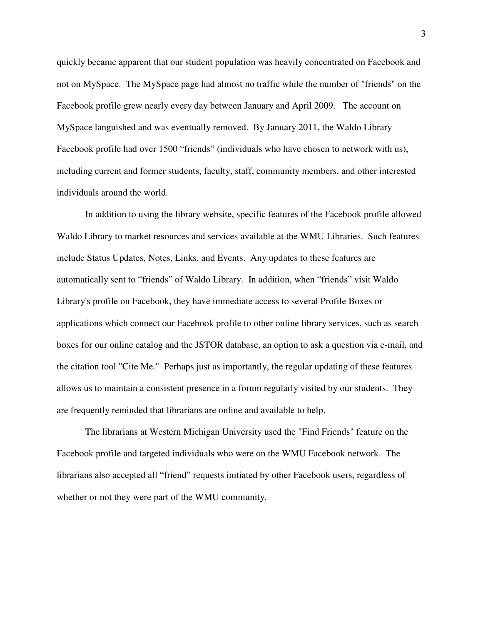quickly became apparent that our student population was heavily concentrated on Facebook and not on MySpace. The MySpace page had almost no traffic while the number of "friends" on the Facebook profile grew nearly every day between January and April 2009. The account on MySpace languished and was eventually removed. By January 2011, the Waldo Library Facebook profile had over 1500 "friends" (individuals who have chosen to network with us), including current and former students, faculty, staff, community members, and other interested individuals around the world.

In addition to using the library website, specific features of the Facebook profile allowed Waldo Library to market resources and services available at the WMU Libraries. Such features include Status Updates, Notes, Links, and Events. Any updates to these features are automatically sent to "friends" of Waldo Library. In addition, when "friends" visit Waldo Library's profile on Facebook, they have immediate access to several Profile Boxes or applications which connect our Facebook profile to other online library services, such as search boxes for our online catalog and the JSTOR database, an option to ask a question via e-mail, and the citation tool "Cite Me." Perhaps just as importantly, the regular updating of these features allows us to maintain a consistent presence in a forum regularly visited by our students. They are frequently reminded that librarians are online and available to help.

The librarians at Western Michigan University used the "Find Friends" feature on the Facebook profile and targeted individuals who were on the WMU Facebook network. The librarians also accepted all "friend" requests initiated by other Facebook users, regardless of whether or not they were part of the WMU community.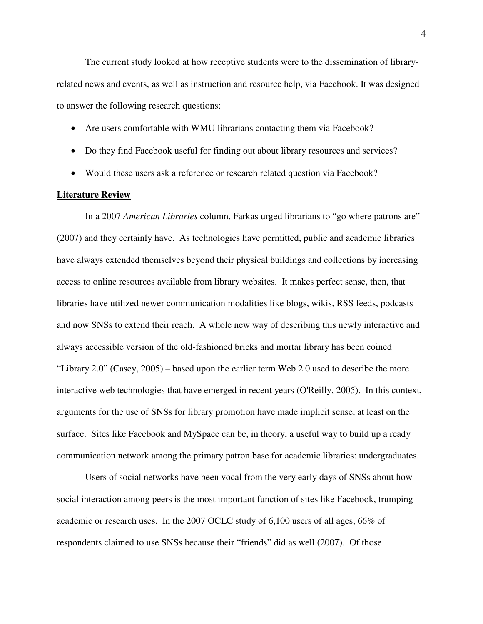The current study looked at how receptive students were to the dissemination of libraryrelated news and events, as well as instruction and resource help, via Facebook. It was designed to answer the following research questions:

- Are users comfortable with WMU librarians contacting them via Facebook?
- Do they find Facebook useful for finding out about library resources and services?
- Would these users ask a reference or research related question via Facebook?

## **Literature Review**

 In a 2007 *American Libraries* column, Farkas urged librarians to "go where patrons are" (2007) and they certainly have. As technologies have permitted, public and academic libraries have always extended themselves beyond their physical buildings and collections by increasing access to online resources available from library websites. It makes perfect sense, then, that libraries have utilized newer communication modalities like blogs, wikis, RSS feeds, podcasts and now SNSs to extend their reach. A whole new way of describing this newly interactive and always accessible version of the old-fashioned bricks and mortar library has been coined "Library 2.0" (Casey, 2005) – based upon the earlier term Web 2.0 used to describe the more interactive web technologies that have emerged in recent years (O'Reilly, 2005). In this context, arguments for the use of SNSs for library promotion have made implicit sense, at least on the surface. Sites like Facebook and MySpace can be, in theory, a useful way to build up a ready communication network among the primary patron base for academic libraries: undergraduates.

 Users of social networks have been vocal from the very early days of SNSs about how social interaction among peers is the most important function of sites like Facebook, trumping academic or research uses. In the 2007 OCLC study of 6,100 users of all ages, 66% of respondents claimed to use SNSs because their "friends" did as well (2007). Of those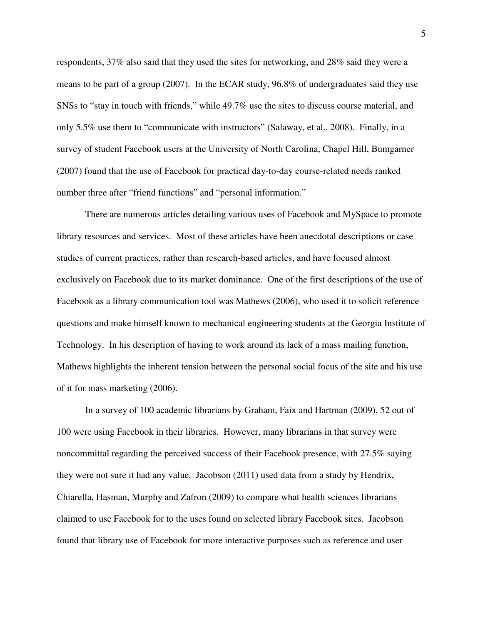respondents, 37% also said that they used the sites for networking, and 28% said they were a means to be part of a group (2007). In the ECAR study, 96.8% of undergraduates said they use SNSs to "stay in touch with friends," while 49.7% use the sites to discuss course material, and only 5.5% use them to "communicate with instructors" (Salaway, et al., 2008). Finally, in a survey of student Facebook users at the University of North Carolina, Chapel Hill, Bumgarner (2007) found that the use of Facebook for practical day-to-day course-related needs ranked number three after "friend functions" and "personal information."

 There are numerous articles detailing various uses of Facebook and MySpace to promote library resources and services. Most of these articles have been anecdotal descriptions or case studies of current practices, rather than research-based articles, and have focused almost exclusively on Facebook due to its market dominance. One of the first descriptions of the use of Facebook as a library communication tool was Mathews (2006), who used it to solicit reference questions and make himself known to mechanical engineering students at the Georgia Institute of Technology. In his description of having to work around its lack of a mass mailing function, Mathews highlights the inherent tension between the personal social focus of the site and his use of it for mass marketing (2006).

 In a survey of 100 academic librarians by Graham, Faix and Hartman (2009), 52 out of 100 were using Facebook in their libraries. However, many librarians in that survey were noncommittal regarding the perceived success of their Facebook presence, with 27.5% saying they were not sure it had any value. Jacobson (2011) used data from a study by Hendrix, Chiarella, Hasman, Murphy and Zafron (2009) to compare what health sciences librarians claimed to use Facebook for to the uses found on selected library Facebook sites. Jacobson found that library use of Facebook for more interactive purposes such as reference and user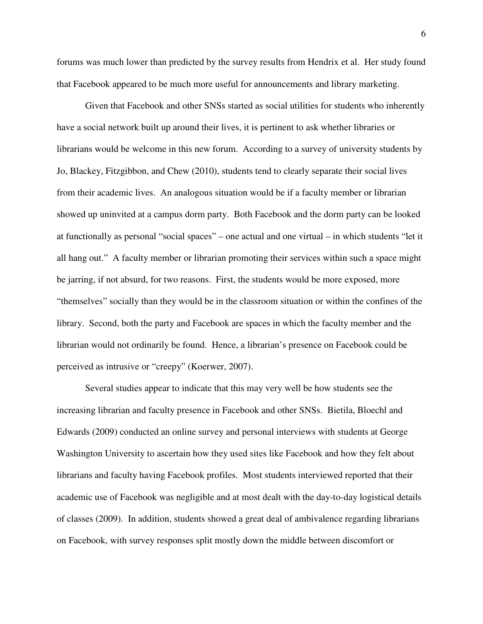forums was much lower than predicted by the survey results from Hendrix et al. Her study found that Facebook appeared to be much more useful for announcements and library marketing.

 Given that Facebook and other SNSs started as social utilities for students who inherently have a social network built up around their lives, it is pertinent to ask whether libraries or librarians would be welcome in this new forum. According to a survey of university students by Jo, Blackey, Fitzgibbon, and Chew (2010), students tend to clearly separate their social lives from their academic lives. An analogous situation would be if a faculty member or librarian showed up uninvited at a campus dorm party. Both Facebook and the dorm party can be looked at functionally as personal "social spaces" – one actual and one virtual – in which students "let it all hang out." A faculty member or librarian promoting their services within such a space might be jarring, if not absurd, for two reasons. First, the students would be more exposed, more "themselves" socially than they would be in the classroom situation or within the confines of the library. Second, both the party and Facebook are spaces in which the faculty member and the librarian would not ordinarily be found. Hence, a librarian's presence on Facebook could be perceived as intrusive or "creepy" (Koerwer, 2007).

 Several studies appear to indicate that this may very well be how students see the increasing librarian and faculty presence in Facebook and other SNSs. Bietila, Bloechl and Edwards (2009) conducted an online survey and personal interviews with students at George Washington University to ascertain how they used sites like Facebook and how they felt about librarians and faculty having Facebook profiles. Most students interviewed reported that their academic use of Facebook was negligible and at most dealt with the day-to-day logistical details of classes (2009). In addition, students showed a great deal of ambivalence regarding librarians on Facebook, with survey responses split mostly down the middle between discomfort or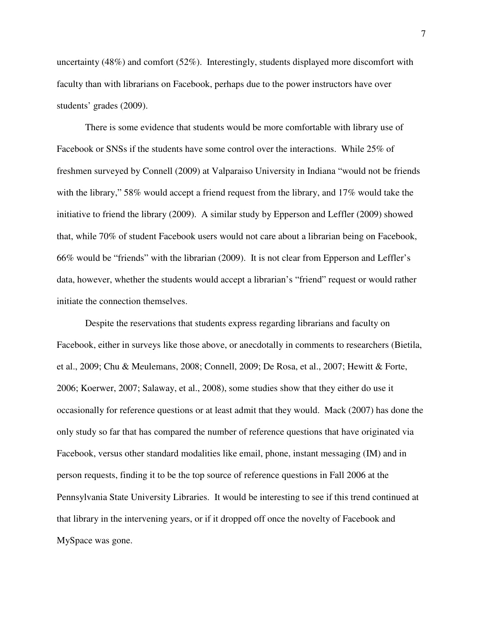uncertainty (48%) and comfort (52%). Interestingly, students displayed more discomfort with faculty than with librarians on Facebook, perhaps due to the power instructors have over students' grades (2009).

 There is some evidence that students would be more comfortable with library use of Facebook or SNSs if the students have some control over the interactions. While 25% of freshmen surveyed by Connell (2009) at Valparaiso University in Indiana "would not be friends with the library," 58% would accept a friend request from the library, and 17% would take the initiative to friend the library (2009). A similar study by Epperson and Leffler (2009) showed that, while 70% of student Facebook users would not care about a librarian being on Facebook, 66% would be "friends" with the librarian (2009). It is not clear from Epperson and Leffler's data, however, whether the students would accept a librarian's "friend" request or would rather initiate the connection themselves.

 Despite the reservations that students express regarding librarians and faculty on Facebook, either in surveys like those above, or anecdotally in comments to researchers (Bietila, et al., 2009; Chu & Meulemans, 2008; Connell, 2009; De Rosa, et al., 2007; Hewitt & Forte, 2006; Koerwer, 2007; Salaway, et al., 2008), some studies show that they either do use it occasionally for reference questions or at least admit that they would. Mack (2007) has done the only study so far that has compared the number of reference questions that have originated via Facebook, versus other standard modalities like email, phone, instant messaging (IM) and in person requests, finding it to be the top source of reference questions in Fall 2006 at the Pennsylvania State University Libraries. It would be interesting to see if this trend continued at that library in the intervening years, or if it dropped off once the novelty of Facebook and MySpace was gone.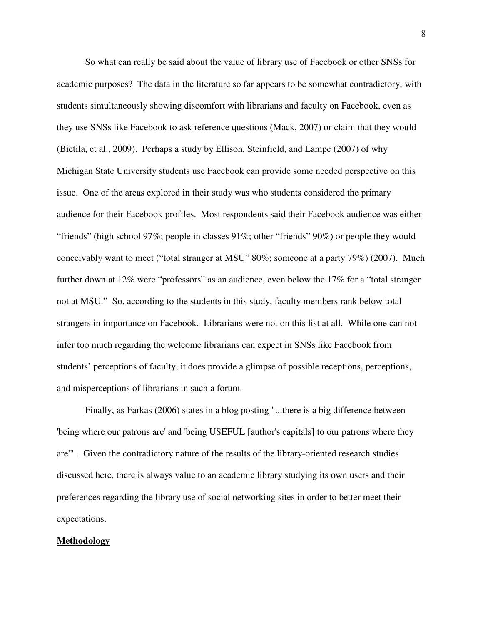So what can really be said about the value of library use of Facebook or other SNSs for academic purposes? The data in the literature so far appears to be somewhat contradictory, with students simultaneously showing discomfort with librarians and faculty on Facebook, even as they use SNSs like Facebook to ask reference questions (Mack, 2007) or claim that they would (Bietila, et al., 2009). Perhaps a study by Ellison, Steinfield, and Lampe (2007) of why Michigan State University students use Facebook can provide some needed perspective on this issue. One of the areas explored in their study was who students considered the primary audience for their Facebook profiles. Most respondents said their Facebook audience was either "friends" (high school 97%; people in classes 91%; other "friends" 90%) or people they would conceivably want to meet ("total stranger at MSU" 80%; someone at a party 79%) (2007). Much further down at 12% were "professors" as an audience, even below the 17% for a "total stranger not at MSU." So, according to the students in this study, faculty members rank below total strangers in importance on Facebook. Librarians were not on this list at all. While one can not infer too much regarding the welcome librarians can expect in SNSs like Facebook from students' perceptions of faculty, it does provide a glimpse of possible receptions, perceptions, and misperceptions of librarians in such a forum.

 Finally, as Farkas (2006) states in a blog posting "...there is a big difference between 'being where our patrons are' and 'being USEFUL [author's capitals] to our patrons where they are'" . Given the contradictory nature of the results of the library-oriented research studies discussed here, there is always value to an academic library studying its own users and their preferences regarding the library use of social networking sites in order to better meet their expectations.

#### **Methodology**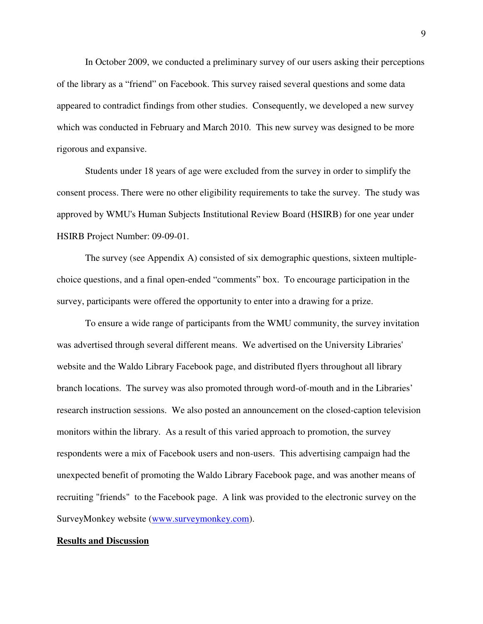In October 2009, we conducted a preliminary survey of our users asking their perceptions of the library as a "friend" on Facebook. This survey raised several questions and some data appeared to contradict findings from other studies. Consequently, we developed a new survey which was conducted in February and March 2010. This new survey was designed to be more rigorous and expansive.

 Students under 18 years of age were excluded from the survey in order to simplify the consent process. There were no other eligibility requirements to take the survey. The study was approved by WMU's Human Subjects Institutional Review Board (HSIRB) for one year under HSIRB Project Number: 09-09-01.

 The survey (see Appendix A) consisted of six demographic questions, sixteen multiplechoice questions, and a final open-ended "comments" box. To encourage participation in the survey, participants were offered the opportunity to enter into a drawing for a prize.

 To ensure a wide range of participants from the WMU community, the survey invitation was advertised through several different means. We advertised on the University Libraries' website and the Waldo Library Facebook page, and distributed flyers throughout all library branch locations. The survey was also promoted through word-of-mouth and in the Libraries' research instruction sessions. We also posted an announcement on the closed-caption television monitors within the library. As a result of this varied approach to promotion, the survey respondents were a mix of Facebook users and non-users. This advertising campaign had the unexpected benefit of promoting the Waldo Library Facebook page, and was another means of recruiting "friends" to the Facebook page. A link was provided to the electronic survey on the SurveyMonkey website (www.surveymonkey.com).

#### **Results and Discussion**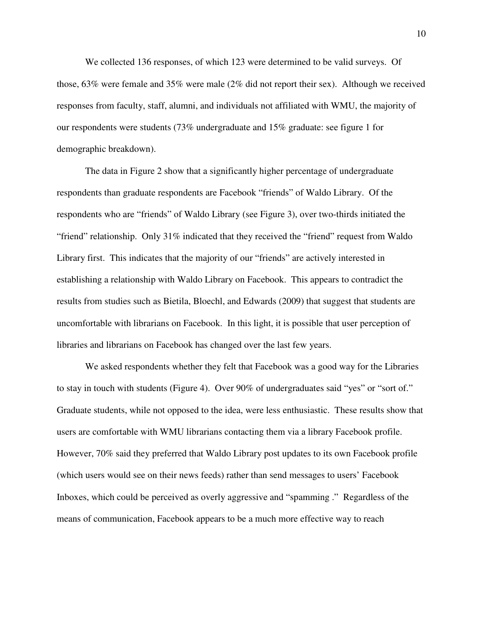We collected 136 responses, of which 123 were determined to be valid surveys. Of those, 63% were female and 35% were male (2% did not report their sex). Although we received responses from faculty, staff, alumni, and individuals not affiliated with WMU, the majority of our respondents were students (73% undergraduate and 15% graduate: see figure 1 for demographic breakdown).

 The data in Figure 2 show that a significantly higher percentage of undergraduate respondents than graduate respondents are Facebook "friends" of Waldo Library. Of the respondents who are "friends" of Waldo Library (see Figure 3), over two-thirds initiated the "friend" relationship. Only 31% indicated that they received the "friend" request from Waldo Library first. This indicates that the majority of our "friends" are actively interested in establishing a relationship with Waldo Library on Facebook. This appears to contradict the results from studies such as Bietila, Bloechl, and Edwards (2009) that suggest that students are uncomfortable with librarians on Facebook. In this light, it is possible that user perception of libraries and librarians on Facebook has changed over the last few years.

We asked respondents whether they felt that Facebook was a good way for the Libraries to stay in touch with students (Figure 4). Over 90% of undergraduates said "yes" or "sort of." Graduate students, while not opposed to the idea, were less enthusiastic. These results show that users are comfortable with WMU librarians contacting them via a library Facebook profile. However, 70% said they preferred that Waldo Library post updates to its own Facebook profile (which users would see on their news feeds) rather than send messages to users' Facebook Inboxes, which could be perceived as overly aggressive and "spamming ." Regardless of the means of communication, Facebook appears to be a much more effective way to reach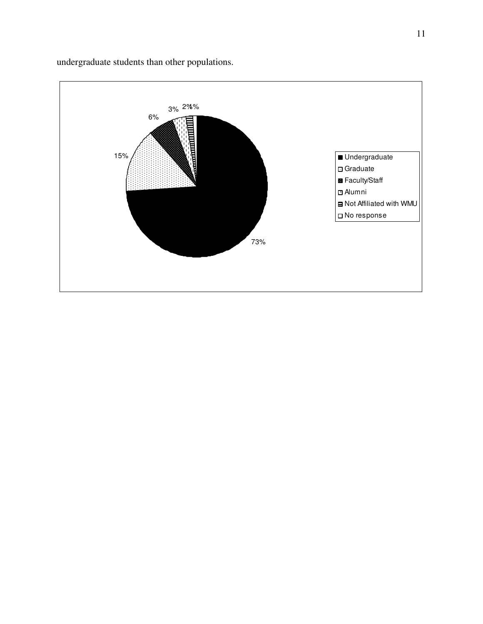

undergraduate students than other populations.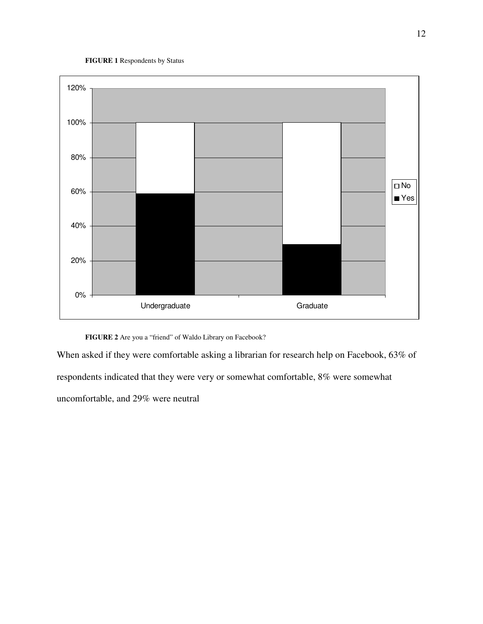#### **FIGURE 1** Respondents by Status



**FIGURE 2** Are you a "friend" of Waldo Library on Facebook?

When asked if they were comfortable asking a librarian for research help on Facebook, 63% of respondents indicated that they were very or somewhat comfortable, 8% were somewhat uncomfortable, and 29% were neutral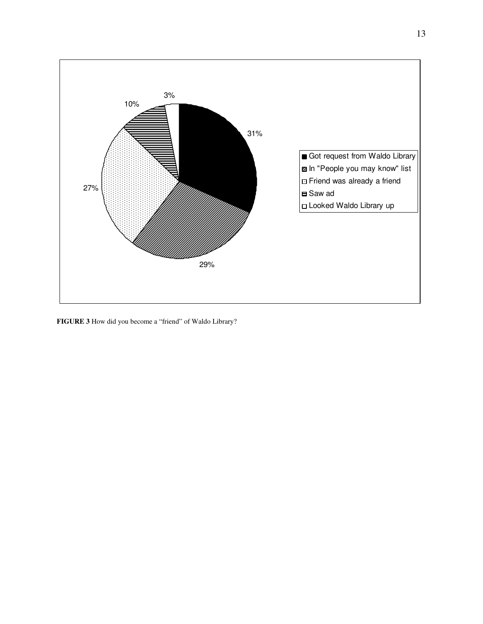

**FIGURE 3** How did you become a "friend" of Waldo Library?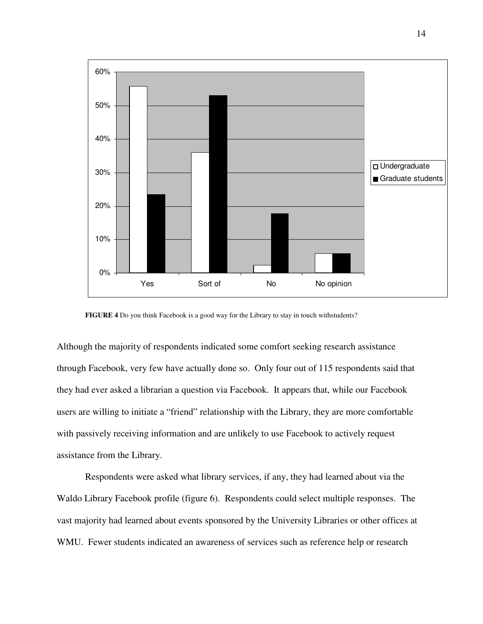

**FIGURE 4** Do you think Facebook is a good way for the Library to stay in touch withstudents?

Although the majority of respondents indicated some comfort seeking research assistance through Facebook, very few have actually done so. Only four out of 115 respondents said that they had ever asked a librarian a question via Facebook. It appears that, while our Facebook users are willing to initiate a "friend" relationship with the Library, they are more comfortable with passively receiving information and are unlikely to use Facebook to actively request assistance from the Library.

Respondents were asked what library services, if any, they had learned about via the Waldo Library Facebook profile (figure 6). Respondents could select multiple responses. The vast majority had learned about events sponsored by the University Libraries or other offices at WMU. Fewer students indicated an awareness of services such as reference help or research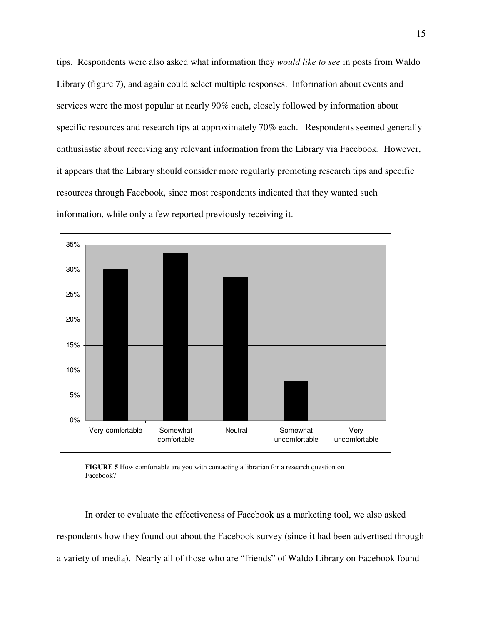tips. Respondents were also asked what information they *would like to see* in posts from Waldo Library (figure 7), and again could select multiple responses. Information about events and services were the most popular at nearly 90% each, closely followed by information about specific resources and research tips at approximately 70% each. Respondents seemed generally enthusiastic about receiving any relevant information from the Library via Facebook. However, it appears that the Library should consider more regularly promoting research tips and specific resources through Facebook, since most respondents indicated that they wanted such information, while only a few reported previously receiving it.



**FIGURE 5** How comfortable are you with contacting a librarian for a research question on Facebook?

In order to evaluate the effectiveness of Facebook as a marketing tool, we also asked respondents how they found out about the Facebook survey (since it had been advertised through a variety of media). Nearly all of those who are "friends" of Waldo Library on Facebook found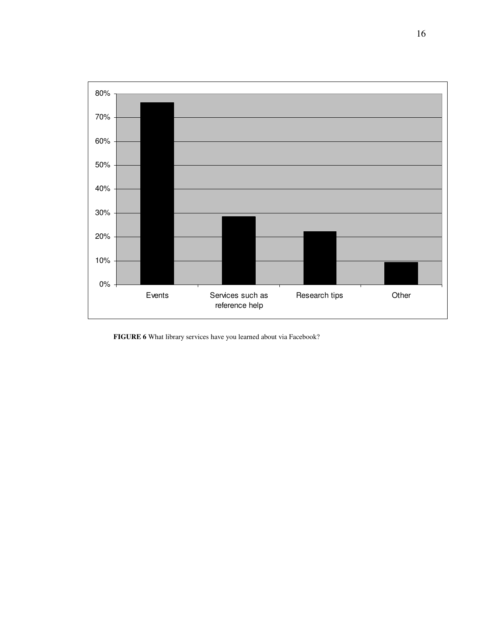

**FIGURE 6** What library services have you learned about via Facebook?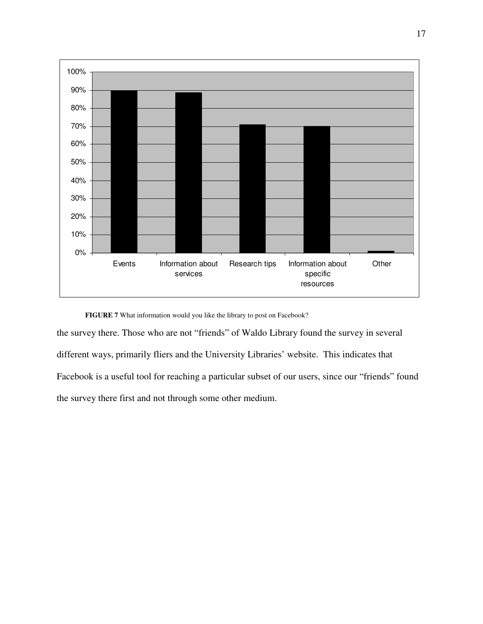

**FIGURE 7** What information would you like the library to post on Facebook?

the survey there. Those who are not "friends" of Waldo Library found the survey in several different ways, primarily fliers and the University Libraries' website. This indicates that Facebook is a useful tool for reaching a particular subset of our users, since our "friends" found the survey there first and not through some other medium.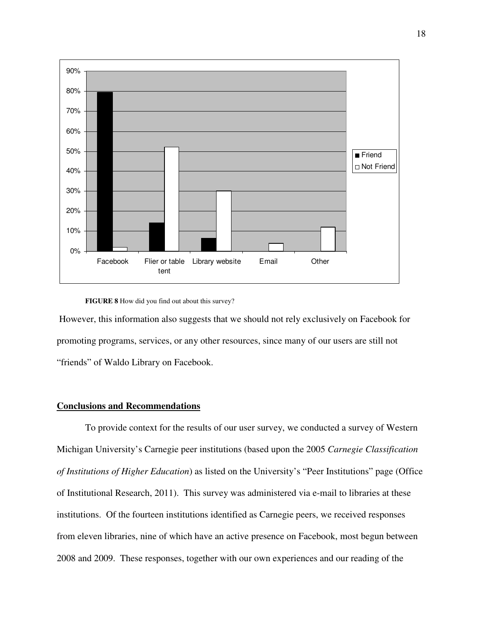

#### **FIGURE 8** How did you find out about this survey?

 However, this information also suggests that we should not rely exclusively on Facebook for promoting programs, services, or any other resources, since many of our users are still not "friends" of Waldo Library on Facebook.

#### **Conclusions and Recommendations**

To provide context for the results of our user survey, we conducted a survey of Western Michigan University's Carnegie peer institutions (based upon the 2005 *Carnegie Classification of Institutions of Higher Education*) as listed on the University's "Peer Institutions" page (Office of Institutional Research, 2011). This survey was administered via e-mail to libraries at these institutions. Of the fourteen institutions identified as Carnegie peers, we received responses from eleven libraries, nine of which have an active presence on Facebook, most begun between 2008 and 2009. These responses, together with our own experiences and our reading of the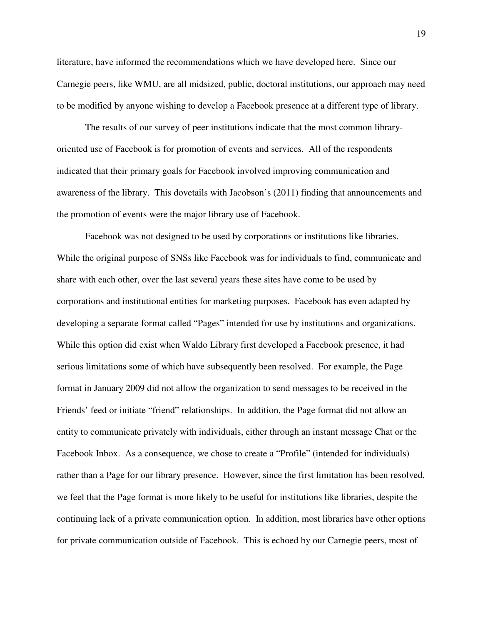literature, have informed the recommendations which we have developed here. Since our Carnegie peers, like WMU, are all midsized, public, doctoral institutions, our approach may need to be modified by anyone wishing to develop a Facebook presence at a different type of library.

The results of our survey of peer institutions indicate that the most common libraryoriented use of Facebook is for promotion of events and services. All of the respondents indicated that their primary goals for Facebook involved improving communication and awareness of the library. This dovetails with Jacobson's (2011) finding that announcements and the promotion of events were the major library use of Facebook.

Facebook was not designed to be used by corporations or institutions like libraries. While the original purpose of SNSs like Facebook was for individuals to find, communicate and share with each other, over the last several years these sites have come to be used by corporations and institutional entities for marketing purposes. Facebook has even adapted by developing a separate format called "Pages" intended for use by institutions and organizations. While this option did exist when Waldo Library first developed a Facebook presence, it had serious limitations some of which have subsequently been resolved. For example, the Page format in January 2009 did not allow the organization to send messages to be received in the Friends' feed or initiate "friend" relationships. In addition, the Page format did not allow an entity to communicate privately with individuals, either through an instant message Chat or the Facebook Inbox. As a consequence, we chose to create a "Profile" (intended for individuals) rather than a Page for our library presence. However, since the first limitation has been resolved, we feel that the Page format is more likely to be useful for institutions like libraries, despite the continuing lack of a private communication option. In addition, most libraries have other options for private communication outside of Facebook. This is echoed by our Carnegie peers, most of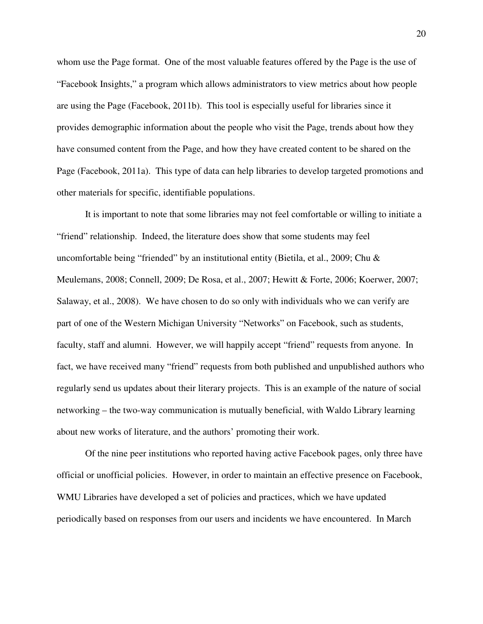whom use the Page format. One of the most valuable features offered by the Page is the use of "Facebook Insights," a program which allows administrators to view metrics about how people are using the Page (Facebook, 2011b). This tool is especially useful for libraries since it provides demographic information about the people who visit the Page, trends about how they have consumed content from the Page, and how they have created content to be shared on the Page (Facebook, 2011a). This type of data can help libraries to develop targeted promotions and other materials for specific, identifiable populations.

It is important to note that some libraries may not feel comfortable or willing to initiate a "friend" relationship. Indeed, the literature does show that some students may feel uncomfortable being "friended" by an institutional entity (Bietila, et al., 2009; Chu & Meulemans, 2008; Connell, 2009; De Rosa, et al., 2007; Hewitt & Forte, 2006; Koerwer, 2007; Salaway, et al., 2008). We have chosen to do so only with individuals who we can verify are part of one of the Western Michigan University "Networks" on Facebook, such as students, faculty, staff and alumni. However, we will happily accept "friend" requests from anyone. In fact, we have received many "friend" requests from both published and unpublished authors who regularly send us updates about their literary projects. This is an example of the nature of social networking – the two-way communication is mutually beneficial, with Waldo Library learning about new works of literature, and the authors' promoting their work.

Of the nine peer institutions who reported having active Facebook pages, only three have official or unofficial policies. However, in order to maintain an effective presence on Facebook, WMU Libraries have developed a set of policies and practices, which we have updated periodically based on responses from our users and incidents we have encountered. In March

20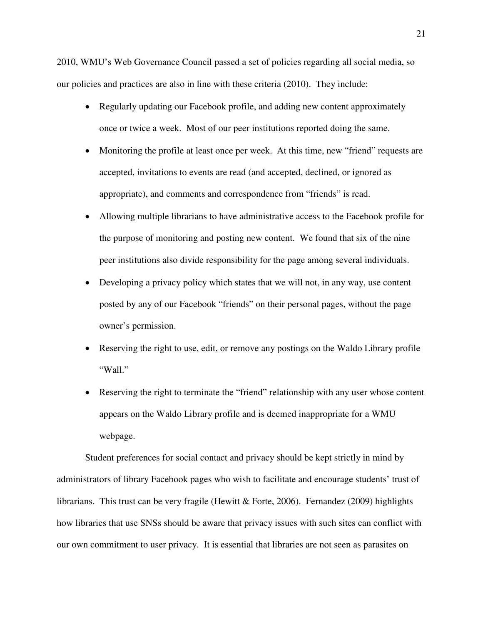2010, WMU's Web Governance Council passed a set of policies regarding all social media, so our policies and practices are also in line with these criteria (2010). They include:

- Regularly updating our Facebook profile, and adding new content approximately once or twice a week. Most of our peer institutions reported doing the same.
- Monitoring the profile at least once per week. At this time, new "friend" requests are accepted, invitations to events are read (and accepted, declined, or ignored as appropriate), and comments and correspondence from "friends" is read.
- Allowing multiple librarians to have administrative access to the Facebook profile for the purpose of monitoring and posting new content. We found that six of the nine peer institutions also divide responsibility for the page among several individuals.
- Developing a privacy policy which states that we will not, in any way, use content posted by any of our Facebook "friends" on their personal pages, without the page owner's permission.
- Reserving the right to use, edit, or remove any postings on the Waldo Library profile "Wall."
- Reserving the right to terminate the "friend" relationship with any user whose content appears on the Waldo Library profile and is deemed inappropriate for a WMU webpage.

Student preferences for social contact and privacy should be kept strictly in mind by administrators of library Facebook pages who wish to facilitate and encourage students' trust of librarians. This trust can be very fragile (Hewitt & Forte, 2006). Fernandez (2009) highlights how libraries that use SNSs should be aware that privacy issues with such sites can conflict with our own commitment to user privacy. It is essential that libraries are not seen as parasites on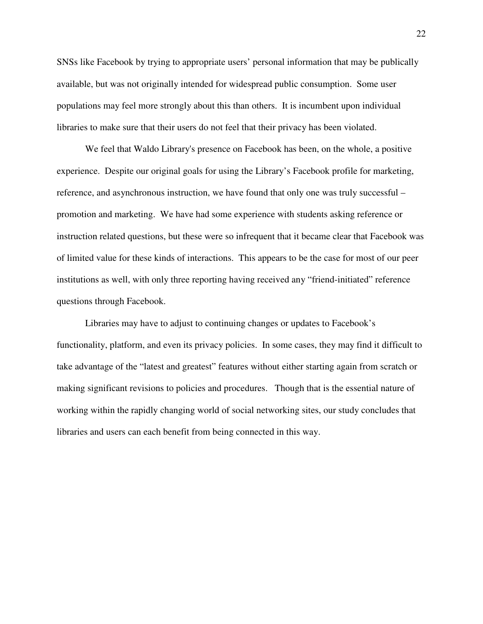SNSs like Facebook by trying to appropriate users' personal information that may be publically available, but was not originally intended for widespread public consumption. Some user populations may feel more strongly about this than others. It is incumbent upon individual libraries to make sure that their users do not feel that their privacy has been violated.

We feel that Waldo Library's presence on Facebook has been, on the whole, a positive experience. Despite our original goals for using the Library's Facebook profile for marketing, reference, and asynchronous instruction, we have found that only one was truly successful – promotion and marketing. We have had some experience with students asking reference or instruction related questions, but these were so infrequent that it became clear that Facebook was of limited value for these kinds of interactions. This appears to be the case for most of our peer institutions as well, with only three reporting having received any "friend-initiated" reference questions through Facebook.

Libraries may have to adjust to continuing changes or updates to Facebook's functionality, platform, and even its privacy policies. In some cases, they may find it difficult to take advantage of the "latest and greatest" features without either starting again from scratch or making significant revisions to policies and procedures. Though that is the essential nature of working within the rapidly changing world of social networking sites, our study concludes that libraries and users can each benefit from being connected in this way.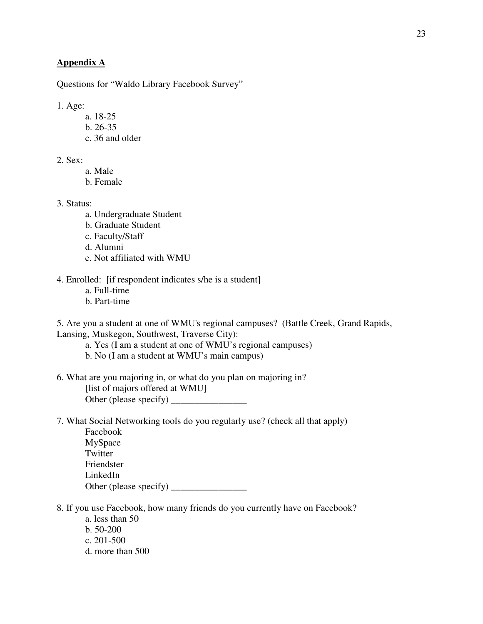# **Appendix A**

Questions for "Waldo Library Facebook Survey"

1. Age:

- a. 18-25
- b. 26-35
- c. 36 and older

2. Sex:

- a. Male
- b. Female

3. Status:

- a. Undergraduate Student
- b. Graduate Student
- c. Faculty/Staff

d. Alumni

e. Not affiliated with WMU

4. Enrolled: [if respondent indicates s/he is a student]

- a. Full-time
- b. Part-time

5. Are you a student at one of WMU's regional campuses? (Battle Creek, Grand Rapids, Lansing, Muskegon, Southwest, Traverse City):

a. Yes (I am a student at one of WMU's regional campuses)

- b. No (I am a student at WMU's main campus)
- 6. What are you majoring in, or what do you plan on majoring in? [list of majors offered at WMU] Other (please specify) \_\_\_\_\_\_\_\_\_\_\_\_\_\_\_\_
- 7. What Social Networking tools do you regularly use? (check all that apply)

| Facebook               |  |
|------------------------|--|
| MySpace                |  |
| Twitter                |  |
| Friendster             |  |
| LinkedIn               |  |
| Other (please specify) |  |

- 8. If you use Facebook, how many friends do you currently have on Facebook?
	- a. less than 50
	- b. 50-200
	- c. 201-500
	- d. more than 500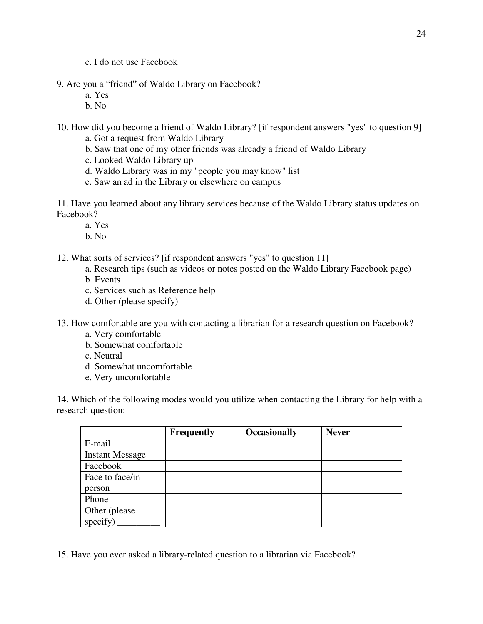e. I do not use Facebook

- 9. Are you a "friend" of Waldo Library on Facebook?
	- a. Yes
	- b. No

10. How did you become a friend of Waldo Library? [if respondent answers "yes" to question 9]

- a. Got a request from Waldo Library
- b. Saw that one of my other friends was already a friend of Waldo Library
- c. Looked Waldo Library up
- d. Waldo Library was in my "people you may know" list
- e. Saw an ad in the Library or elsewhere on campus

11. Have you learned about any library services because of the Waldo Library status updates on Facebook?

- a. Yes
- b. No
- 12. What sorts of services? [if respondent answers "yes" to question 11]
	- a. Research tips (such as videos or notes posted on the Waldo Library Facebook page)
	- b. Events
	- c. Services such as Reference help
	- d. Other (please specify)  $\frac{\qquad \qquad }{\qquad \qquad }$
- 13. How comfortable are you with contacting a librarian for a research question on Facebook?
	- a. Very comfortable
	- b. Somewhat comfortable
	- c. Neutral
	- d. Somewhat uncomfortable
	- e. Very uncomfortable

14. Which of the following modes would you utilize when contacting the Library for help with a research question:

|                        | <b>Frequently</b> | <b>Occasionally</b> | <b>Never</b> |
|------------------------|-------------------|---------------------|--------------|
| E-mail                 |                   |                     |              |
| <b>Instant Message</b> |                   |                     |              |
| Facebook               |                   |                     |              |
| Face to face/in        |                   |                     |              |
| person                 |                   |                     |              |
| Phone                  |                   |                     |              |
| Other (please)         |                   |                     |              |
| specify)               |                   |                     |              |

15. Have you ever asked a library-related question to a librarian via Facebook?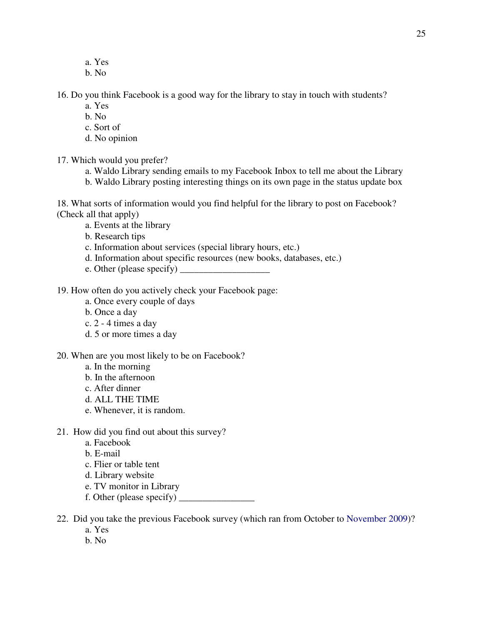- a. Yes
- b. No

16. Do you think Facebook is a good way for the library to stay in touch with students?

- a. Yes
- b. No
- c. Sort of
- d. No opinion
- 17. Which would you prefer?
	- a. Waldo Library sending emails to my Facebook Inbox to tell me about the Library
	- b. Waldo Library posting interesting things on its own page in the status update box

18. What sorts of information would you find helpful for the library to post on Facebook? (Check all that apply)

- a. Events at the library
- b. Research tips
- c. Information about services (special library hours, etc.)
- d. Information about specific resources (new books, databases, etc.)
- e. Other (please specify) \_
- 19. How often do you actively check your Facebook page:
	- a. Once every couple of days
	- b. Once a day
	- c. 2 4 times a day
	- d. 5 or more times a day
- 20. When are you most likely to be on Facebook?
	- a. In the morning
	- b. In the afternoon
	- c. After dinner
	- d. ALL THE TIME
	- e. Whenever, it is random.
- 21. How did you find out about this survey?
	- a. Facebook
	- b. E-mail
	- c. Flier or table tent
	- d. Library website
	- e. TV monitor in Library
	- f. Other (please specify)  $\qquad \qquad$
- 22. Did you take the previous Facebook survey (which ran from October to November 2009)?
	- a. Yes
	- b. No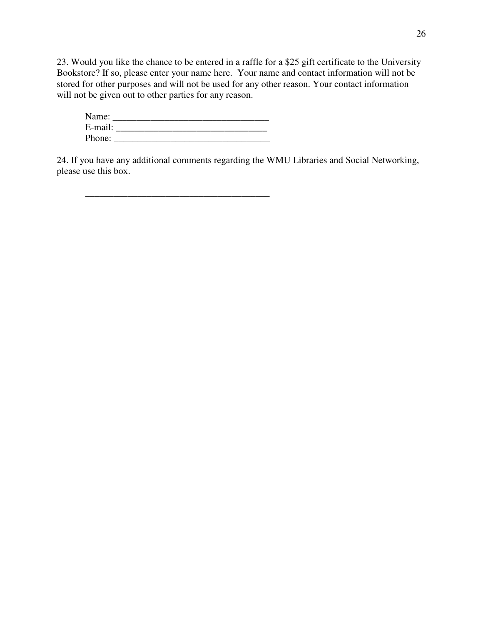23. Would you like the chance to be entered in a raffle for a \$25 gift certificate to the University Bookstore? If so, please enter your name here. Your name and contact information will not be stored for other purposes and will not be used for any other reason. Your contact information will not be given out to other parties for any reason.

| Name:   |  |
|---------|--|
| E-mail: |  |
| Phone:  |  |

 $\overline{\phantom{a}}$  ,  $\overline{\phantom{a}}$  ,  $\overline{\phantom{a}}$  ,  $\overline{\phantom{a}}$  ,  $\overline{\phantom{a}}$  ,  $\overline{\phantom{a}}$  ,  $\overline{\phantom{a}}$  ,  $\overline{\phantom{a}}$  ,  $\overline{\phantom{a}}$  ,  $\overline{\phantom{a}}$  ,  $\overline{\phantom{a}}$  ,  $\overline{\phantom{a}}$  ,  $\overline{\phantom{a}}$  ,  $\overline{\phantom{a}}$  ,  $\overline{\phantom{a}}$  ,  $\overline{\phantom{a}}$ 

24. If you have any additional comments regarding the WMU Libraries and Social Networking, please use this box.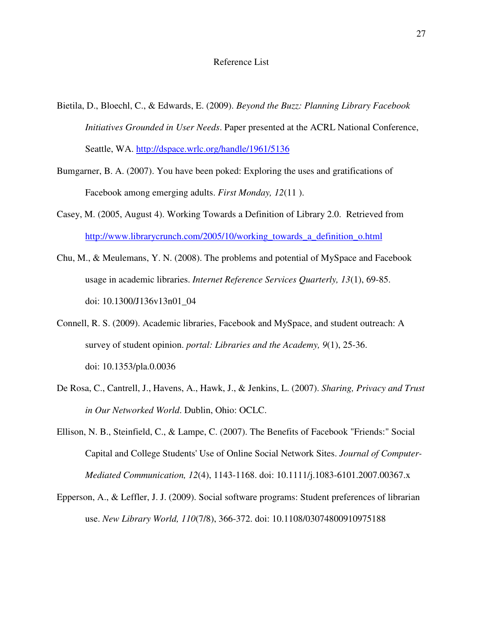- Bietila, D., Bloechl, C., & Edwards, E. (2009). *Beyond the Buzz: Planning Library Facebook Initiatives Grounded in User Needs*. Paper presented at the ACRL National Conference, Seattle, WA. http://dspace.wrlc.org/handle/1961/5136
- Bumgarner, B. A. (2007). You have been poked: Exploring the uses and gratifications of Facebook among emerging adults. *First Monday, 12*(11 ).
- Casey, M. (2005, August 4). Working Towards a Definition of Library 2.0. Retrieved from http://www.librarycrunch.com/2005/10/working\_towards\_a\_definition\_o.html
- Chu, M., & Meulemans, Y. N. (2008). The problems and potential of MySpace and Facebook usage in academic libraries. *Internet Reference Services Quarterly, 13*(1), 69-85. doi: 10.1300/J136v13n01\_04
- Connell, R. S. (2009). Academic libraries, Facebook and MySpace, and student outreach: A survey of student opinion. *portal: Libraries and the Academy, 9*(1), 25-36. doi: 10.1353/pla.0.0036
- De Rosa, C., Cantrell, J., Havens, A., Hawk, J., & Jenkins, L. (2007). *Sharing, Privacy and Trust in Our Networked World*. Dublin, Ohio: OCLC.
- Ellison, N. B., Steinfield, C., & Lampe, C. (2007). The Benefits of Facebook "Friends:" Social Capital and College Students' Use of Online Social Network Sites. *Journal of Computer-Mediated Communication, 12*(4), 1143-1168. doi: 10.1111/j.1083-6101.2007.00367.x
- Epperson, A., & Leffler, J. J. (2009). Social software programs: Student preferences of librarian use. *New Library World, 110*(7/8), 366-372. doi: 10.1108/03074800910975188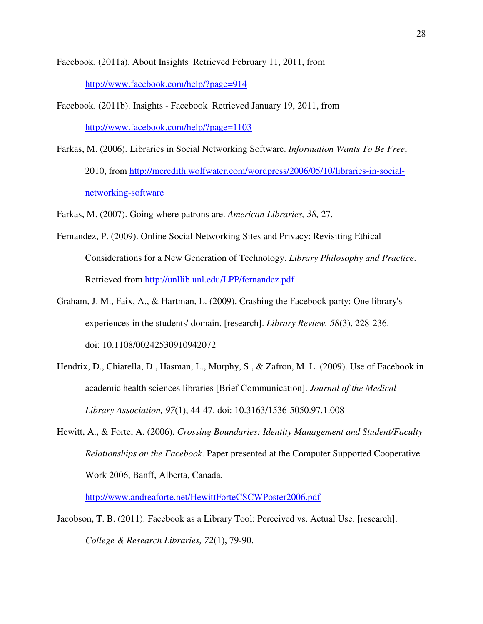Facebook. (2011a). About Insights Retrieved February 11, 2011, from http://www.facebook.com/help/?page=914

- Facebook. (2011b). Insights Facebook Retrieved January 19, 2011, from http://www.facebook.com/help/?page=1103
- Farkas, M. (2006). Libraries in Social Networking Software. *Information Wants To Be Free*, 2010, from http://meredith.wolfwater.com/wordpress/2006/05/10/libraries-in-socialnetworking-software

Farkas, M. (2007). Going where patrons are. *American Libraries, 38,* 27.

- Fernandez, P. (2009). Online Social Networking Sites and Privacy: Revisiting Ethical Considerations for a New Generation of Technology. *Library Philosophy and Practice*. Retrieved from http://unllib.unl.edu/LPP/fernandez.pdf
- Graham, J. M., Faix, A., & Hartman, L. (2009). Crashing the Facebook party: One library's experiences in the students' domain. [research]. *Library Review, 58*(3), 228-236. doi: 10.1108/00242530910942072
- Hendrix, D., Chiarella, D., Hasman, L., Murphy, S., & Zafron, M. L. (2009). Use of Facebook in academic health sciences libraries [Brief Communication]. *Journal of the Medical Library Association, 97*(1), 44-47. doi: 10.3163/1536-5050.97.1.008
- Hewitt, A., & Forte, A. (2006). *Crossing Boundaries: Identity Management and Student/Faculty Relationships on the Facebook*. Paper presented at the Computer Supported Cooperative Work 2006, Banff, Alberta, Canada.

http://www.andreaforte.net/HewittForteCSCWPoster2006.pdf

Jacobson, T. B. (2011). Facebook as a Library Tool: Perceived vs. Actual Use. [research]. *College & Research Libraries, 72*(1), 79-90.